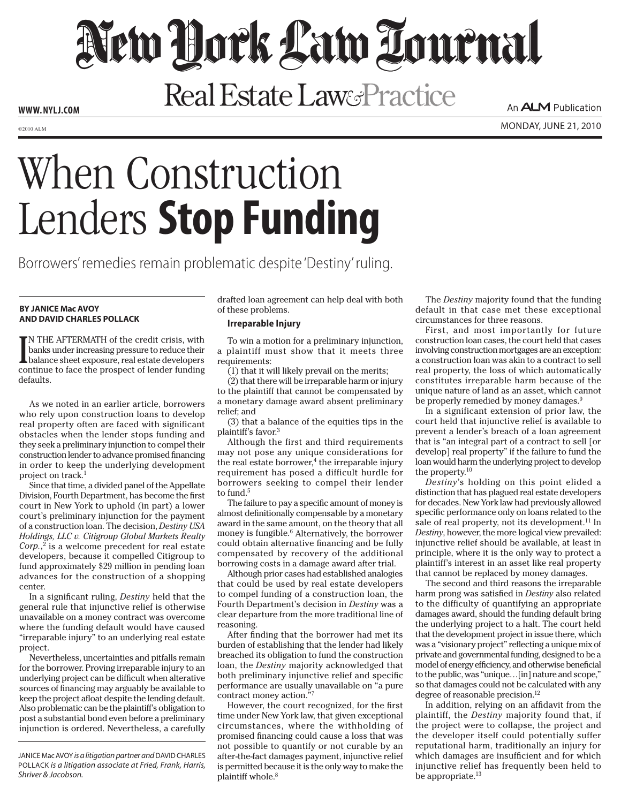# New Hock Law Tournal

Real Estate Law&Practice

**www. NYLJ.com**

An **ALM** Publication

 $\mathcal{L}_{\text{2010 ALM}}$  monday, june 21, 2010

## When Construction Lenders **Stop Funding**

Borrowers' remedies remain problematic despite 'Destiny' ruling.

## **By Janice Mac Avoy and David Charles Pollack**

IN THE AFTERMATH of the credit crisis, with<br>banks under increasing pressure to reduce their<br>balance sheet exposure, real estate developers<br>continue to face the prospect of lender funding N THE AFTERMATH of the credit crisis, with banks under increasing pressure to reduce their continue to face the prospect of lender funding defaults.

As we noted in an earlier article, borrowers who rely upon construction loans to develop real property often are faced with significant obstacles when the lender stops funding and they seek a preliminary injunction to compel their construction lender to advance promised financing in order to keep the underlying development project on track.1

Since that time, a divided panel of the Appellate Division, Fourth Department, has become the first court in New York to uphold (in part) a lower court's preliminary injunction for the payment of a construction loan. The decision, *Destiny USA Holdings, LLC v. Citigroup Global Markets Realty Corp.*, 2 is a welcome precedent for real estate developers, because it compelled Citigroup to fund approximately \$29 million in pending loan advances for the construction of a shopping center.

In a significant ruling, *Destiny* held that the general rule that injunctive relief is otherwise unavailable on a money contract was overcome where the funding default would have caused "irreparable injury" to an underlying real estate project.

Nevertheless, uncertainties and pitfalls remain for the borrower. Proving irreparable injury to an underlying project can be difficult when alterative sources of financing may arguably be available to keep the project afloat despite the lending default. Also problematic can be the plaintiff's obligation to post a substantial bond even before a preliminary injunction is ordered. Nevertheless, a carefully drafted loan agreement can help deal with both of these problems.

### **Irreparable Injury**

To win a motion for a preliminary injunction, a plaintiff must show that it meets three requirements:

(1) that it will likely prevail on the merits;

(2) that there will be irreparable harm or injury to the plaintiff that cannot be compensated by a monetary damage award absent preliminary relief; and

(3) that a balance of the equities tips in the plaintiff's favor.3

Although the first and third requirements may not pose any unique considerations for the real estate borrower, $4$  the irreparable injury requirement has posed a difficult hurdle for borrowers seeking to compel their lender to fund.<sup>5</sup>

The failure to pay a specific amount of money is almost definitionally compensable by a monetary award in the same amount, on the theory that all money is fungible.<sup>6</sup> Alternatively, the borrower could obtain alternative financing and be fully compensated by recovery of the additional borrowing costs in a damage award after trial.

Although prior cases had established analogies that could be used by real estate developers to compel funding of a construction loan, the Fourth Department's decision in *Destiny* was a clear departure from the more traditional line of reasoning.

After finding that the borrower had met its burden of establishing that the lender had likely breached its obligation to fund the construction loan, the *Destiny* majority acknowledged that both preliminary injunctive relief and specific performance are usually unavailable on "a pure contract money action."7

However, the court recognized, for the first time under New York law, that given exceptional circumstances, where the withholding of promised financing could cause a loss that was not possible to quantify or not curable by an after-the-fact damages payment, injunctive relief is permitted because it is the only way to make the plaintiff whole.<sup>8</sup>

The *Destiny* majority found that the funding default in that case met these exceptional circumstances for three reasons.

First, and most importantly for future construction loan cases, the court held that cases involving construction mortgages are an exception: a construction loan was akin to a contract to sell real property, the loss of which automatically constitutes irreparable harm because of the unique nature of land as an asset, which cannot be properly remedied by money damages.<sup>9</sup>

In a significant extension of prior law, the court held that injunctive relief is available to prevent a lender's breach of a loan agreement that is "an integral part of a contract to sell [or develop] real property" if the failure to fund the loan would harm the underlying project to develop the property.10

*Destiny*'s holding on this point elided a distinction that has plagued real estate developers for decades. New York law had previously allowed specific performance only on loans related to the sale of real property, not its development.<sup>11</sup> In *Destiny*, however, the more logical view prevailed: injunctive relief should be available, at least in principle, where it is the only way to protect a plaintiff's interest in an asset like real property that cannot be replaced by money damages.

The second and third reasons the irreparable harm prong was satisfied in *Destiny* also related to the difficulty of quantifying an appropriate damages award, should the funding default bring the underlying project to a halt. The court held that the development project in issue there, which was a "visionary project" reflecting a unique mix of private and governmental funding, designed to be a model of energy efficiency, and otherwise beneficial to the public, was "unique…[in] nature and scope," so that damages could not be calculated with any degree of reasonable precision.<sup>12</sup>

In addition, relying on an affidavit from the plaintiff, the *Destiny* majority found that, if the project were to collapse, the project and the developer itself could potentially suffer reputational harm, traditionally an injury for which damages are insufficient and for which injunctive relief has frequently been held to be appropriate. $^{13}$ 

JANICE Mac AVOY *is a litigation partner and* DAVID CHARLES Pollack *is a litigation associate at Fried, Frank, Harris, Shriver & Jacobson.*